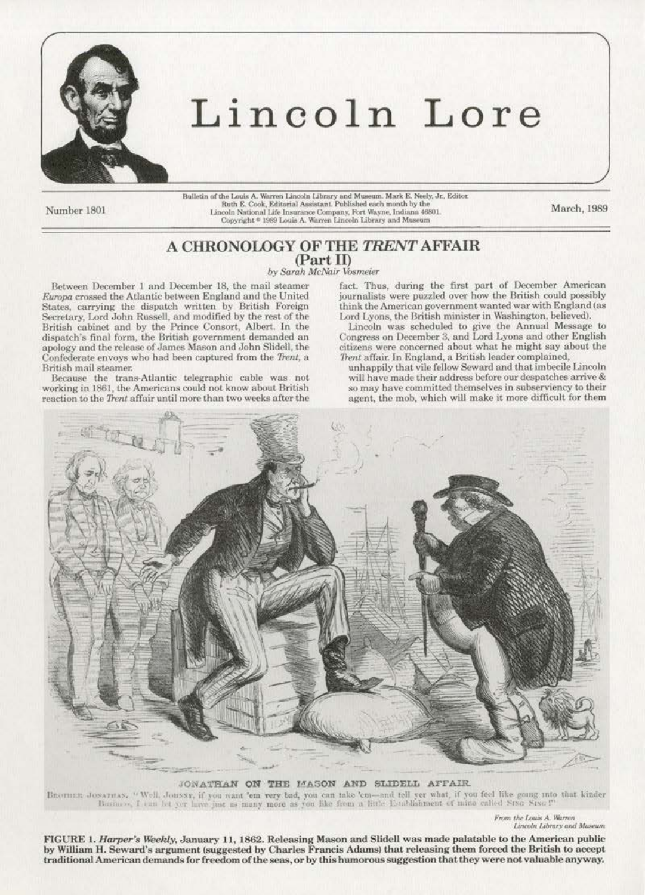

## Lincoln Lore

Number 1801

Bulletin of the Louis A. Warren Lincoln Library and Museum. Mark E. Neely, Jr., Editor.<br>Ruth E. Cook, Editorial Assistant. Published each month by the ncoln National Life Insurance Company, Fort Wayne, Indiana 46801.<br>Lincoln National Life Insurance Company, Fort Wayne, Indiana 46801.

March, 1989

## A CHRONOLOGY OF THE TRENT AFFAIR (Part II)

by Sarah McNair Vosmeier

Between December 1 and December 18, the mail steamer Europa crossed the Atlantic between England and the United States, carrying the dispatch written by British Foreign Secretary, Lord John Russell, and modified by the rest of the British cabinet and by the Prince Consort, Albert. In the dispatch's final form, the British government demanded an apology and the release of James Mason and John Slidell, the Confederate envoys who had been captured from the Trent, a British mail steamer.

Because the trans-Atlantic telegraphic cable was not working in 1861, the Americans could not know about British reaction to the Trent affair until more than two weeks after the

fact. Thus, during the first part of December American journalists were puzzled over how the British could possibly think the American government wanted war with England (as Lord Lyons, the British minister in Washington, believed).

Lincoln was scheduled to give the Annual Message to Congress on December 3, and Lord Lyons and other English citizens were concerned about what he might say about the Trent affair. In England, a British leader complained,

unhappily that vile fellow Seward and that imbecile Lincoln will have made their address before our despatches arrive & so may have committed themselves in subserviency to their agent, the mob, which will make it more difficult for them



JONATHAN ON THE MASON AND SLIDELL AFFAIR BROTHER JOSATHAN, "Well, JOHNNY, if you want 'em very bad, you can take 'em--and tell yer what, if you feel like going into that kinder Basiners, I can let yer have just as many more as you like from a little Establishment

> From the Louis A. Warren Lincoln Library and Museum

FIGURE 1. Harper's Weekly, January 11, 1862. Releasing Mason and Slidell was made palatable to the American public by William H. Seward's argument (suggested by Charles Francis Adams) that releasing them forced the British to accept traditional American demands for freedom of the seas, or by this humorous suggestion that they were not valuable anyway.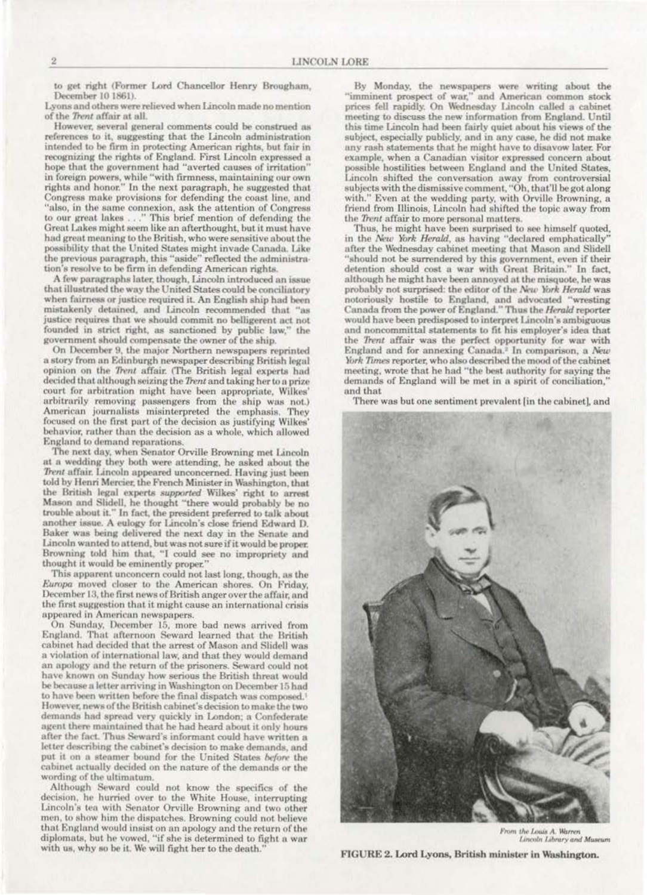to get right (Former Lord Chancellor Henry Brougham, December 10 1861).

Lyons and others were relieved when Lincoln made no mention of the Trent affair at all.

However, several general comments could be construed as references to it, suggesting that the Lincoln administration intended to be firm in protecting American rights, but fair in recognizing the rights of England. First Lincoln expressed a hope that the government had "averted causes of irritation" in foreign powers, while "with firmness, maintaining our own rights and honor." In the next paragraph, he suggested that Congress make provisions for defending the coast line, and "also, in the same connexion, ask the attention of Congress to our great lakes ..." This brief mention of defending the Great Lakes might seem like an afterthought, but it must have had great meaning to the British, who were sensitive about the possibility that the United States might invade Canada. Like the previous paragraph, this "aside" reflected the administration's resolve to be firm in defending American rights.

A few paragraphs later, though, Lincoln introduced an issue that illustrated the way the United States could be conciliatory when fairness or justice required it. An English ship had been mistakenly detained, and Lincoln recommended that "as justice requires that we should commit no belligerent act not founded in strict right, as sanctioned by public law," the government should compensate the owner of the ship.

On December 9, the major Northern newspapers reprinted a story from an Edinburgh newspaper describing British legal opinion on the Trent affair. (The British legal experts had decided that although seizing the Trent and taking her to a prize court for arbitration might have been appropriate, Wilkes' arbitrarily removing passengers from the ship was not.) American journalists misinterpreted the emphasis, They focused on the first part of the decision as justifying Wilkes' behavior, rather than the decision as a whole, which allowed England to demand reparations.

The next day, when Senator Orville Browning met Lincoln at a wedding they both were attending, he asked about the Trent affair. Lincoln appeared unconcerned. Having just been told by Henri Mercier, the French Minister in Washington, that the British legal experts supported Wilkes' right to arrest Mason and Slidell, he thought "there would probably be no trouble about it." In fact, the president preferred to talk about another issue. A eulogy for Lincoln's close friend Edward D. Baker was being delivered the next day in the Senate and Lincoln wanted to attend, but was not sure if it would be proper. Browning told him that, "I could see no impropriety and thought it would be eminently proper."

This apparent unconcern could not last long, though, as the Europa moved closer to the American shores. On Friday, December 13, the first news of British anger over the affair, and the first suggestion that it might cause an international crisis appeared in American newspapers.

On Sunday, December 15, more bad news arrived from England. That afternoon Seward learned that the British cabinet had decided that the arrest of Mason and Slidell was a violation of international law, and that they would demand an apology and the return of the prisoners. Seward could not have known on Sunday how serious the British threat would be because a letter arriving in Washington on December 15 had to have been written before the final dispatch was composed.<sup>1</sup> However, news of the British cabinet's decision to make the two demands had spread very quickly in London; a Confederate agent there maintained that he had heard about it only hours after the fact. Thus Seward's informant could have written a letter describing the cabinet's decision to make demands, and put it on a steamer bound for the United States before the cabinet actually decided on the nature of the demands or the wording of the ultimatum.

Although Seward could not know the specifics of the decision, he hurried over to the White House, interrupting Lincoln's tea with Senator Orville Browning and two other men, to show him the dispatches. Browning could not believe that England would insist on an apology and the return of the diplomats, but he vowed, "if she is determined to fight a war with us, why so be it. We will fight her to the death.'

By Monday, the newspapers were writing about the "imminent prospect of war," and American common stock<br>prices fell rapidly. On Wednesday Lincoln called a cabinet meeting to discuss the new information from England. Until this time Lincoln had been fairly quiet about his views of the subject, especially publicly, and in any case, he did not make any rash statements that he might have to disavow later. For example, when a Canadian visitor expressed concern about possible hostilities between England and the United States. Lincoln shifted the conversation away from controversial subjects with the dismissive comment, "Oh, that'll be got along with." Even at the wedding party, with Orville Browning, a friend from Illinois, Lincoln had shifted the topic away from the Trent affair to more personal matters.

Thus, he might have been surprised to see himself quoted, in the New York Herald, as having "declared emphatically' after the Wednesday cabinet meeting that Mason and Slidell "should not be surrendered by this government, even if their detention should cost a war with Great Britain." In fact, although he might have been annoyed at the misquote, he was probably not surprised: the editor of the New York Herald was notoriously hostile to England, and advocated "wresting Canada from the power of England." Thus the *Herald* reporter would have been predisposed to interpret Lincoln's ambiguous and noncommittal statements to fit his employer's idea that the Trent affair was the perfect opportunity for war with England and for annexing Canada.<sup>2</sup> In comparison, a New York Times reporter, who also described the mood of the cabinet meeting, wrote that he had "the best authority for saying the demands of England will be met in a spirit of conciliation.' and that

There was but one sentiment prevalent [in the cabinet], and



From the Louis A. Warren Lincoln Library and Museum

FIGURE 2. Lord Lyons, British minister in Washington.

 $\overline{2}$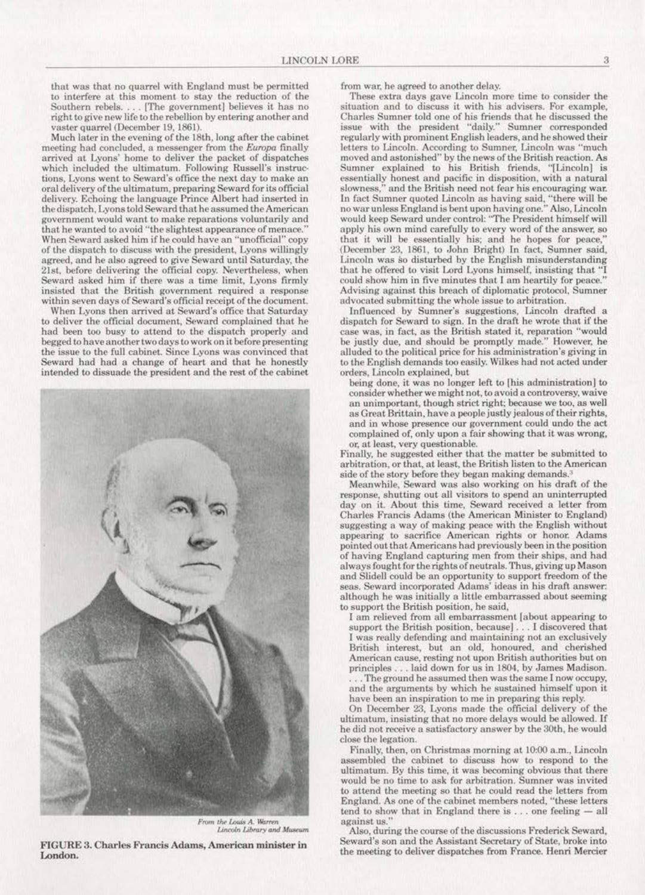that was that no quarrel with England must be permjtted to interfere at this moment to stay the reduction of the Southern rebels. . . . [The government] believes it has no right to give new life to the rebellion by entering another and vaster quarrel (December 19, 1861).

Much later in the evening of the 18th, long after the cabinet meeting had concluded. a messenger from the *Europa* finally arrived at Lyons' home to deliver the packet of dispatches which included the ultimatum. Following Russell's instructions. Lyons went to Seward's office the next day to make an oral delivery of the ultimotum, preparing Seward for its official delivery. Echoing the language Prince Albert had inserted in the dispatch, Lyons told Seward that he assumed the American government would want to make reparations voluntarily and that he wanted to avoid "the slightest appearance of menace." When Seward asked him if he could have an "unofficial" copy of the dispatch to discuss with the president. Lyons willingly agreed, and he also agreed to give Seward until Saturday, the 2Lst, before delivering the official copy. Nevertheless. when Seward asked him if there was a time limit. Lyons firmly insisted that the British government required a response within seven days of Seward's official receipt of the document.

When Lyons then arrived at Seward's office that Saturday to deliver the official document, Seward complained that he had been too busy to attend to the dispatch properly and begged to have another two days to work on it before presenting the issue to the full cabinet. Since Lyons was convinced that Seward had had a change of heart and that he honestly intended to dissuade the president and the rest of the cabinet



From the Louis A. Warren Lincoln Library and Museum

FIGURE 3. Charles Francis Adams, American minister in London.

from war. he agreed to another delay.

These extra days gave Lincoln more time to consider the situation and to discuss it with his advisers. For example. issue with the president "daily." Sumner corresponded regularly with prominent English leaders. and he showed their letters to Lincoln. According to Sumner, Lincoln was "much moved and astonished" by the news of the British reaction. As Sumner explained to his British friends, "[Lincoln] is essentially honest and pacific in disposition, with a natural slowness." and the British need not fear his encouraging war. In fact Sumner quoted Lincoln as having said, "there will be no war unless England is bent upon having one." Also, Lincoln would keep Seward under control: "The President himself will apply his own mind carefully to every word of the answer. so that it will be essentially his; and he hopes for peace, (December 23, 1861, to John Bright) In fact, Sumner said, Lincoln was so disturbed by the English misunderstanding that he offered to visit Lord Lyons himself, insisting that "I could show him in five minutes that I am heartily for peace." Advising against this breach of diplomatic protocol, Sumner advocated submitting the whole issue to arbitration.

Influenced by Sumner's suggestions. Lincoln drafted a dispatch for Seward to sign. In the draft he wrote that if the case was, in fact, as the British stated it, reparation "would be justly due, and should be promptly made.'' However, he alluded to the political price for his administration's giving in to the English demands too easily. Wilkes had not acted under orders, Lincoln explained. but

being done, it was no longer left to [his administration] to consider whether we might not. to avoid a controversy, waive an unimportant, though strict right; because we too, as well as Great Brittain, have a people justly jealous of their rights, and in whose presence our government could undo the act complained of, only upon a fair showing that it was wrong, or, at least, very questionable.

Finally, he suggested either that the matter be submitted to arbitration, or that, at least, the British listen to the American side of the story before they began making demands.'

Meanwhile, Seward was also working on his draft of the response. shutting out all visitors to spend an uninterrupted day on it. About this time, Seward received a letter from Charles Prancis Adams (the American Minister to England) suggesting a way of making peace with the English without appearing to sacrifice American rights or honor. Adams pointed out that Americans had previously been in the position of having England capturing men from their ships, and had<br>always fought for the rights of neutrals. Thus, giving up Mason and Slidell could be an opportunity to support freedom of the seas. Seward incorporated Adams' ideas in his draft answer: although he was initially a little embarrassed about seeming to support the British position, he said,

I am relieved from all embarrassment (about appearing to support the British position. because] . .. I discovered that I was rea11y defending and maintaining not an exclusively British interest, but an old, honoured, and cherished American cause, resting not upon British authorities but on principles ... laid down for us in 1804, by James Madison. . . The ground he assumed then was the same I now occupy,

and the arguments by which he sustained himself upon it have been an inspiration to me in preparing this reply.

On December 23, Lyons mode the official delivery of the ultimatum, insisting that no more delays would be allowed. If he did not receive a satisfactory answer by the 30th, he would close the legation.

Finally, then, on Christmas morning at 10:00 a.m., Lincoln assembled the cabinet to discuss how to respond to the ultimatum. By this time, it was becoming obvious that there would be no time to ask for arbitration. Sumner was invited to attend the meeting so that he could read the letters from England. As one of the cabinet members noted, "these letters tend to show that in England there is  $\dots$  one feeling  $-$  all against us."

Also, during the course of the discussions Frederick Seward, Seward's son and the Assistant Secretary of State, broke into the meeting to deliver dispatches from France. Henri Mercier